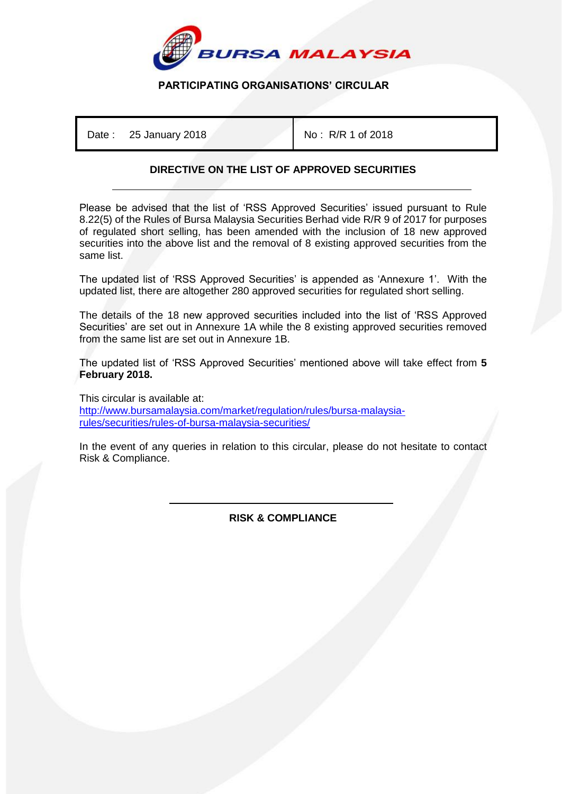

## **PARTICIPATING ORGANISATIONS' CIRCULAR**

Date: 25 January 2018 **No. 2018** No: R/R 1 of 2018

## **DIRECTIVE ON THE LIST OF APPROVED SECURITIES**

Please be advised that the list of 'RSS Approved Securities' issued pursuant to Rule 8.22(5) of the Rules of Bursa Malaysia Securities Berhad vide R/R 9 of 2017 for purposes of regulated short selling, has been amended with the inclusion of 18 new approved securities into the above list and the removal of 8 existing approved securities from the same list.

The updated list of 'RSS Approved Securities' is appended as 'Annexure 1'. With the updated list, there are altogether 280 approved securities for regulated short selling.

The details of the 18 new approved securities included into the list of 'RSS Approved Securities' are set out in Annexure 1A while the 8 existing approved securities removed from the same list are set out in Annexure 1B.

The updated list of 'RSS Approved Securities' mentioned above will take effect from **5 February 2018.**

This circular is available at: [http://www.bursamalaysia.com/market/regulation/rules/bursa-malaysia](http://www.bursamalaysia.com/market/regulation/rules/bursa-malaysia-rules/securities/rules-of-bursa-malaysia-securities/)[rules/securities/rules-of-bursa-malaysia-securities/](http://www.bursamalaysia.com/market/regulation/rules/bursa-malaysia-rules/securities/rules-of-bursa-malaysia-securities/)

In the event of any queries in relation to this circular, please do not hesitate to contact Risk & Compliance.

> İ **RISK & COMPLIANCE**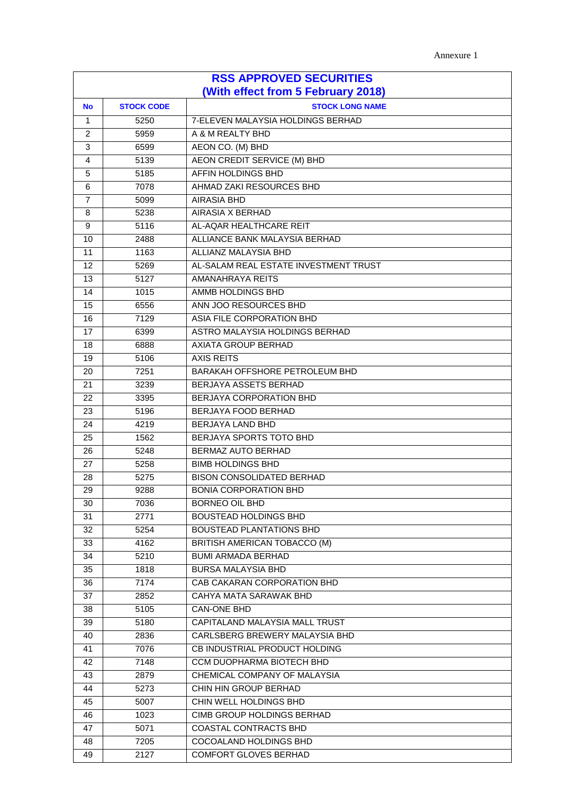| <b>RSS APPROVED SECURITIES</b>     |                   |                                       |  |
|------------------------------------|-------------------|---------------------------------------|--|
| (With effect from 5 February 2018) |                   |                                       |  |
| <b>No</b>                          | <b>STOCK CODE</b> | <b>STOCK LONG NAME</b>                |  |
| 1                                  | 5250              | 7-ELEVEN MALAYSIA HOLDINGS BERHAD     |  |
| 2                                  | 5959              | A & M REALTY BHD                      |  |
| 3                                  | 6599              | AEON CO. (M) BHD                      |  |
| 4                                  | 5139              | AEON CREDIT SERVICE (M) BHD           |  |
| 5                                  | 5185              | <b>AFFIN HOLDINGS BHD</b>             |  |
| 6                                  | 7078              | AHMAD ZAKI RESOURCES BHD              |  |
| $\overline{7}$                     | 5099              | <b>AIRASIA BHD</b>                    |  |
| 8                                  | 5238              | <b>AIRASIA X BERHAD</b>               |  |
| 9                                  | 5116              | AL-AQAR HEALTHCARE REIT               |  |
| 10                                 | 2488              | ALLIANCE BANK MALAYSIA BERHAD         |  |
| 11                                 | 1163              | ALLIANZ MALAYSIA BHD                  |  |
| 12                                 | 5269              | AL-SALAM REAL ESTATE INVESTMENT TRUST |  |
| 13                                 | 5127              | AMANAHRAYA REITS                      |  |
| 14                                 | 1015              | AMMB HOLDINGS BHD                     |  |
| 15                                 | 6556              | ANN JOO RESOURCES BHD                 |  |
| 16                                 | 7129              | ASIA FILE CORPORATION BHD             |  |
| 17                                 | 6399              | ASTRO MALAYSIA HOLDINGS BERHAD        |  |
| 18                                 | 6888              | AXIATA GROUP BERHAD                   |  |
| 19                                 | 5106              | <b>AXIS REITS</b>                     |  |
| 20                                 | 7251              | BARAKAH OFFSHORE PETROLEUM BHD        |  |
| 21                                 | 3239              | BERJAYA ASSETS BERHAD                 |  |
| 22                                 | 3395              | BERJAYA CORPORATION BHD               |  |
| 23                                 | 5196              | BERJAYA FOOD BERHAD                   |  |
| 24                                 | 4219              | BERJAYA LAND BHD                      |  |
| 25                                 | 1562              | BERJAYA SPORTS TOTO BHD               |  |
| 26                                 | 5248              | <b>BERMAZ AUTO BERHAD</b>             |  |
| 27                                 | 5258              | <b>BIMB HOLDINGS BHD</b>              |  |
| 28                                 | 5275              | <b>BISON CONSOLIDATED BERHAD</b>      |  |
| 29                                 | 9288              | <b>BONIA CORPORATION BHD</b>          |  |
| 30                                 | 7036              | <b>BORNEO OIL BHD</b>                 |  |
| 31                                 | 2771              | <b>BOUSTEAD HOLDINGS BHD</b>          |  |
| 32                                 | 5254              | <b>BOUSTEAD PLANTATIONS BHD</b>       |  |
| 33                                 | 4162              | BRITISH AMERICAN TOBACCO (M)          |  |
| 34                                 | 5210              | <b>BUMI ARMADA BERHAD</b>             |  |
| 35                                 | 1818              | <b>BURSA MALAYSIA BHD</b>             |  |
| 36                                 | 7174              | CAB CAKARAN CORPORATION BHD           |  |
| 37                                 | 2852              | CAHYA MATA SARAWAK BHD                |  |
| 38                                 | 5105              | CAN-ONE BHD                           |  |
| 39                                 | 5180              | CAPITALAND MALAYSIA MALL TRUST        |  |
| 40                                 | 2836              | CARLSBERG BREWERY MALAYSIA BHD        |  |
| 41                                 | 7076              | CB INDUSTRIAL PRODUCT HOLDING         |  |
| 42                                 | 7148              | CCM DUOPHARMA BIOTECH BHD             |  |
| 43                                 | 2879              | CHEMICAL COMPANY OF MALAYSIA          |  |
| 44                                 | 5273              | CHIN HIN GROUP BERHAD                 |  |
| 45                                 | 5007              | CHIN WELL HOLDINGS BHD                |  |
| 46                                 | 1023              | CIMB GROUP HOLDINGS BERHAD            |  |
| 47                                 | 5071              | <b>COASTAL CONTRACTS BHD</b>          |  |
| 48                                 | 7205              | COCOALAND HOLDINGS BHD                |  |
| 49                                 | 2127              | COMFORT GLOVES BERHAD                 |  |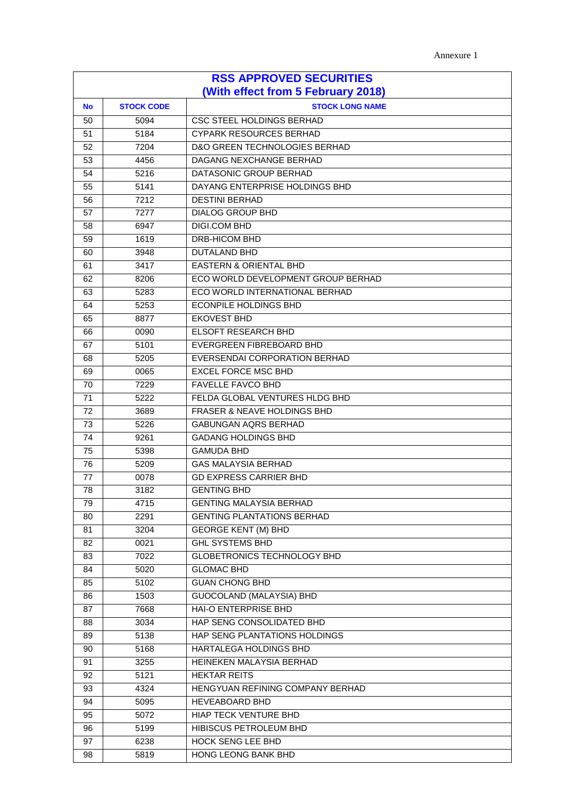| <b>RSS APPROVED SECURITIES</b><br>(With effect from 5 February 2018) |      |                                    |  |
|----------------------------------------------------------------------|------|------------------------------------|--|
| <b>STOCK CODE</b><br><b>STOCK LONG NAME</b><br>No                    |      |                                    |  |
| 50                                                                   | 5094 | CSC STEEL HOLDINGS BERHAD          |  |
| 51                                                                   | 5184 | <b>CYPARK RESOURCES BERHAD</b>     |  |
| 52                                                                   | 7204 | D&O GREEN TECHNOLOGIES BERHAD      |  |
| 53                                                                   | 4456 | DAGANG NEXCHANGE BERHAD            |  |
| 54                                                                   | 5216 | DATASONIC GROUP BERHAD             |  |
| 55                                                                   | 5141 | DAYANG ENTERPRISE HOLDINGS BHD     |  |
| 56                                                                   | 7212 | <b>DESTINI BERHAD</b>              |  |
| 57                                                                   | 7277 | <b>DIALOG GROUP BHD</b>            |  |
| 58                                                                   | 6947 | DIGI.COM BHD                       |  |
| 59                                                                   | 1619 | <b>DRB-HICOM BHD</b>               |  |
| 60                                                                   | 3948 | <b>DUTALAND BHD</b>                |  |
| 61                                                                   | 3417 | <b>EASTERN &amp; ORIENTAL BHD</b>  |  |
| 62                                                                   | 8206 | ECO WORLD DEVELOPMENT GROUP BERHAD |  |
| 63                                                                   | 5283 | ECO WORLD INTERNATIONAL BERHAD     |  |
| 64                                                                   | 5253 | <b>ECONPILE HOLDINGS BHD</b>       |  |
| 65                                                                   | 8877 | <b>EKOVEST BHD</b>                 |  |
| 66                                                                   | 0090 | <b>ELSOFT RESEARCH BHD</b>         |  |
| 67                                                                   | 5101 | EVERGREEN FIBREBOARD BHD           |  |
| 68                                                                   | 5205 | EVERSENDAI CORPORATION BERHAD      |  |
| 69                                                                   | 0065 | <b>EXCEL FORCE MSC BHD</b>         |  |
| 70                                                                   | 7229 | <b>FAVELLE FAVCO BHD</b>           |  |
| 71                                                                   | 5222 | FELDA GLOBAL VENTURES HLDG BHD     |  |
| 72                                                                   | 3689 | FRASER & NEAVE HOLDINGS BHD        |  |
| 73                                                                   | 5226 | <b>GABUNGAN AQRS BERHAD</b>        |  |
| 74                                                                   | 9261 | <b>GADANG HOLDINGS BHD</b>         |  |
| 75                                                                   | 5398 | <b>GAMUDA BHD</b>                  |  |
| 76                                                                   | 5209 | <b>GAS MALAYSIA BERHAD</b>         |  |
| 77                                                                   | 0078 | <b>GD EXPRESS CARRIER BHD</b>      |  |
| 78                                                                   | 3182 | <b>GENTING BHD</b>                 |  |
| 79                                                                   | 4715 | <b>GENTING MALAYSIA BERHAD</b>     |  |
| 80                                                                   | 2291 | <b>GENTING PLANTATIONS BERHAD</b>  |  |
| 81                                                                   | 3204 | <b>GEORGE KENT (M) BHD</b>         |  |
| 82                                                                   | 0021 | <b>GHL SYSTEMS BHD</b>             |  |
| 83                                                                   | 7022 | GLOBETRONICS TECHNOLOGY BHD        |  |
| 84                                                                   | 5020 | <b>GLOMAC BHD</b>                  |  |
| 85                                                                   | 5102 | <b>GUAN CHONG BHD</b>              |  |
| 86                                                                   | 1503 | GUOCOLAND (MALAYSIA) BHD           |  |
| 87                                                                   | 7668 | <b>HAI-O ENTERPRISE BHD</b>        |  |
| 88                                                                   | 3034 | HAP SENG CONSOLIDATED BHD          |  |
| 89                                                                   | 5138 | HAP SENG PLANTATIONS HOLDINGS      |  |
| 90                                                                   | 5168 | HARTALEGA HOLDINGS BHD             |  |
| 91                                                                   | 3255 | HEINEKEN MALAYSIA BERHAD           |  |
| 92                                                                   | 5121 | <b>HEKTAR REITS</b>                |  |
| 93                                                                   | 4324 | HENGYUAN REFINING COMPANY BERHAD   |  |
| 94                                                                   | 5095 | <b>HEVEABOARD BHD</b>              |  |
| 95                                                                   | 5072 | HIAP TECK VENTURE BHD              |  |
| 96                                                                   | 5199 | HIBISCUS PETROLEUM BHD             |  |
| 97                                                                   | 6238 | HOCK SENG LEE BHD                  |  |
| 98                                                                   | 5819 | HONG LEONG BANK BHD                |  |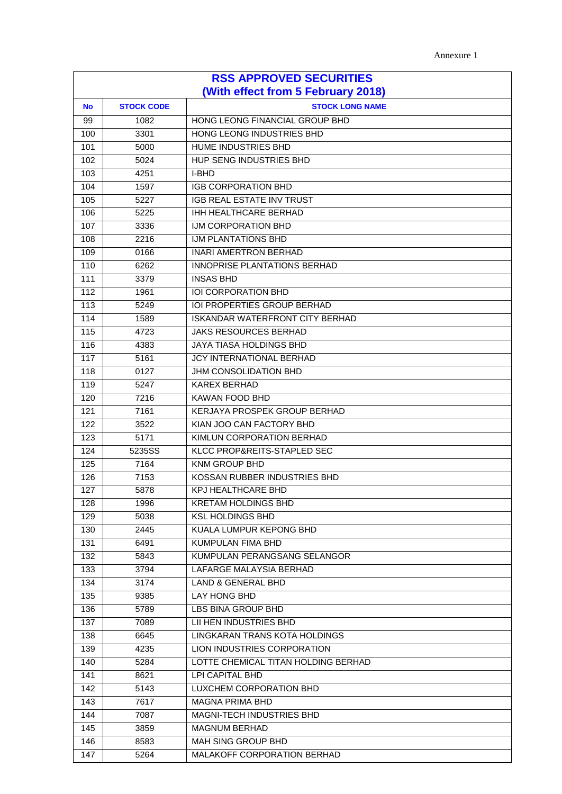| <b>RSS APPROVED SECURITIES</b><br>(With effect from 5 February 2018) |                                             |                                        |  |  |  |
|----------------------------------------------------------------------|---------------------------------------------|----------------------------------------|--|--|--|
| No                                                                   | <b>STOCK CODE</b><br><b>STOCK LONG NAME</b> |                                        |  |  |  |
| 99                                                                   | 1082                                        | HONG LEONG FINANCIAL GROUP BHD         |  |  |  |
| 100                                                                  | 3301                                        | HONG LEONG INDUSTRIES BHD              |  |  |  |
| 101                                                                  | 5000                                        | HUME INDUSTRIES BHD                    |  |  |  |
| 102                                                                  | 5024                                        | HUP SENG INDUSTRIES BHD                |  |  |  |
| 103                                                                  | 4251                                        | <b>I-BHD</b>                           |  |  |  |
| 104                                                                  | 1597                                        | <b>IGB CORPORATION BHD</b>             |  |  |  |
| 105                                                                  | 5227                                        | <b>IGB REAL ESTATE INV TRUST</b>       |  |  |  |
| 106                                                                  | 5225                                        | IHH HEALTHCARE BERHAD                  |  |  |  |
| 107                                                                  | 3336                                        | IJM CORPORATION BHD                    |  |  |  |
| 108                                                                  | 2216                                        | IJM PLANTATIONS BHD                    |  |  |  |
| 109                                                                  | 0166                                        | <b>INARI AMERTRON BERHAD</b>           |  |  |  |
| 110                                                                  | 6262                                        | INNOPRISE PLANTATIONS BERHAD           |  |  |  |
| 111                                                                  | 3379                                        | <b>INSAS BHD</b>                       |  |  |  |
| 112                                                                  | 1961                                        | <b>IOI CORPORATION BHD</b>             |  |  |  |
| 113                                                                  | 5249                                        | <b>IOI PROPERTIES GROUP BERHAD</b>     |  |  |  |
| 114                                                                  | 1589                                        | <b>ISKANDAR WATERFRONT CITY BERHAD</b> |  |  |  |
| 115                                                                  | 4723                                        | <b>JAKS RESOURCES BERHAD</b>           |  |  |  |
| 116                                                                  | 4383                                        | <b>JAYA TIASA HOLDINGS BHD</b>         |  |  |  |
| 117                                                                  | 5161                                        | JCY INTERNATIONAL BERHAD               |  |  |  |
| 118                                                                  | 0127                                        | JHM CONSOLIDATION BHD                  |  |  |  |
| 119                                                                  | 5247                                        | <b>KAREX BERHAD</b>                    |  |  |  |
| 120                                                                  | 7216                                        | KAWAN FOOD BHD                         |  |  |  |
| 121                                                                  | 7161                                        | KERJAYA PROSPEK GROUP BERHAD           |  |  |  |
| 122                                                                  | 3522                                        | KIAN JOO CAN FACTORY BHD               |  |  |  |
| 123                                                                  | 5171                                        | KIMLUN CORPORATION BERHAD              |  |  |  |
| 124                                                                  | 5235SS                                      | KLCC PROP&REITS-STAPLED SEC            |  |  |  |
| 125                                                                  | 7164                                        | <b>KNM GROUP BHD</b>                   |  |  |  |
| 126                                                                  | 7153                                        | KOSSAN RUBBER INDUSTRIES BHD           |  |  |  |
| 127                                                                  | 5878                                        | KPJ HEALTHCARE BHD                     |  |  |  |
| 128                                                                  | 1996                                        | <b>KRETAM HOLDINGS BHD</b>             |  |  |  |
| 129                                                                  | 5038                                        | <b>KSL HOLDINGS BHD</b>                |  |  |  |
| 130                                                                  | 2445                                        | KUALA LUMPUR KEPONG BHD                |  |  |  |
| 131                                                                  | 6491                                        | KUMPULAN FIMA BHD                      |  |  |  |
| 132                                                                  | 5843                                        | KUMPULAN PERANGSANG SELANGOR           |  |  |  |
| 133                                                                  | 3794                                        | LAFARGE MALAYSIA BERHAD                |  |  |  |
| 134                                                                  | 3174                                        | LAND & GENERAL BHD                     |  |  |  |
| 135                                                                  | 9385                                        | LAY HONG BHD                           |  |  |  |
| 136                                                                  | 5789                                        | LBS BINA GROUP BHD                     |  |  |  |
| 137                                                                  | 7089                                        | LII HEN INDUSTRIES BHD                 |  |  |  |
| 138                                                                  | 6645                                        | LINGKARAN TRANS KOTA HOLDINGS          |  |  |  |
| 139                                                                  | 4235                                        | LION INDUSTRIES CORPORATION            |  |  |  |
| 140                                                                  | 5284                                        | LOTTE CHEMICAL TITAN HOLDING BERHAD    |  |  |  |
| 141                                                                  | 8621                                        | LPI CAPITAL BHD                        |  |  |  |
| 142                                                                  | 5143                                        | LUXCHEM CORPORATION BHD                |  |  |  |
| 143                                                                  | 7617                                        | <b>MAGNA PRIMA BHD</b>                 |  |  |  |
| 144                                                                  | 7087                                        | <b>MAGNI-TECH INDUSTRIES BHD</b>       |  |  |  |
| 145                                                                  | 3859                                        | <b>MAGNUM BERHAD</b>                   |  |  |  |
| 146                                                                  | 8583                                        | MAH SING GROUP BHD                     |  |  |  |
| 147                                                                  | 5264                                        | MALAKOFF CORPORATION BERHAD            |  |  |  |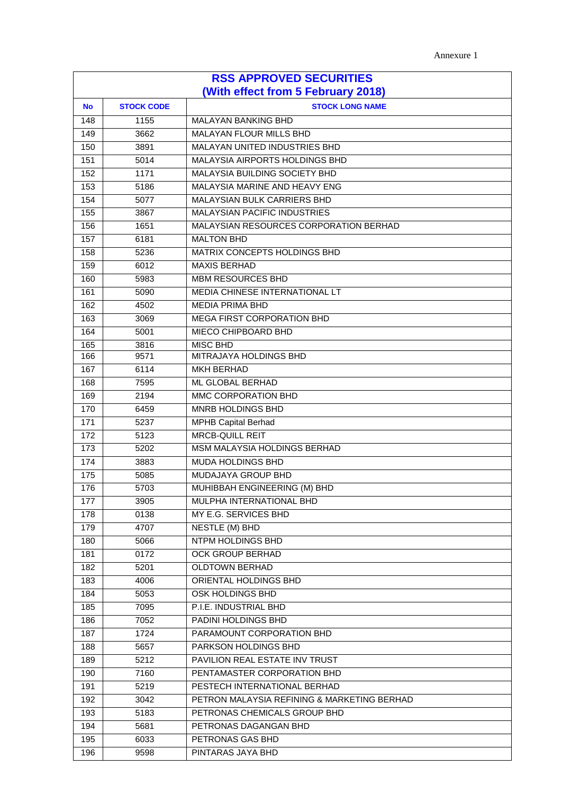| <b>RSS APPROVED SECURITIES</b>     |                   |                                             |  |
|------------------------------------|-------------------|---------------------------------------------|--|
| (With effect from 5 February 2018) |                   |                                             |  |
| <b>No</b>                          | <b>STOCK CODE</b> | <b>STOCK LONG NAME</b>                      |  |
| 148                                | 1155              | <b>MALAYAN BANKING BHD</b>                  |  |
| 149                                | 3662              | <b>MALAYAN FLOUR MILLS BHD</b>              |  |
| 150                                | 3891              | MALAYAN UNITED INDUSTRIES BHD               |  |
| 151                                | 5014              | MALAYSIA AIRPORTS HOLDINGS BHD              |  |
| 152                                | 1171              | MALAYSIA BUILDING SOCIETY BHD               |  |
| 153                                | 5186              | MALAYSIA MARINE AND HEAVY ENG               |  |
| 154                                | 5077              | <b>MALAYSIAN BULK CARRIERS BHD</b>          |  |
| 155                                | 3867              | <b>MALAYSIAN PACIFIC INDUSTRIES</b>         |  |
| 156                                | 1651              | MALAYSIAN RESOURCES CORPORATION BERHAD      |  |
| 157                                | 6181              | <b>MALTON BHD</b>                           |  |
| 158                                | 5236              | MATRIX CONCEPTS HOLDINGS BHD                |  |
| 159                                | 6012              | <b>MAXIS BERHAD</b>                         |  |
| 160                                | 5983              | <b>MBM RESOURCES BHD</b>                    |  |
| 161                                | 5090              | MEDIA CHINESE INTERNATIONAL LT              |  |
| 162                                | 4502              | <b>MEDIA PRIMA BHD</b>                      |  |
| 163                                | 3069              | MEGA FIRST CORPORATION BHD                  |  |
| 164                                | 5001              | MIECO CHIPBOARD BHD                         |  |
| 165                                | 3816              | <b>MISC BHD</b>                             |  |
| 166                                | 9571              | MITRAJAYA HOLDINGS BHD                      |  |
| 167                                | 6114              | <b>MKH BERHAD</b>                           |  |
| 168                                | 7595              | ML GLOBAL BERHAD                            |  |
| 169                                | 2194              | MMC CORPORATION BHD                         |  |
| 170                                | 6459              | MNRB HOLDINGS BHD                           |  |
| 171                                | 5237              | <b>MPHB Capital Berhad</b>                  |  |
| 172                                | 5123              | <b>MRCB-QUILL REIT</b>                      |  |
| 173                                | 5202              | <b>MSM MALAYSIA HOLDINGS BERHAD</b>         |  |
| 174                                | 3883              | MUDA HOLDINGS BHD                           |  |
| 175                                | 5085              | <b>MUDAJAYA GROUP BHD</b>                   |  |
| 176                                | 5703              | MUHIBBAH ENGINEERING (M) BHD                |  |
| 177                                | 3905              | MULPHA INTERNATIONAL BHD                    |  |
| 178                                | 0138              | MY E.G. SERVICES BHD                        |  |
| 179                                | 4707              | NESTLE (M) BHD                              |  |
| 180                                | 5066              | NTPM HOLDINGS BHD                           |  |
| 181                                | 0172              | <b>OCK GROUP BERHAD</b>                     |  |
| 182                                | 5201              | <b>OLDTOWN BERHAD</b>                       |  |
| 183                                | 4006              | ORIENTAL HOLDINGS BHD                       |  |
| 184                                | 5053              | OSK HOLDINGS BHD                            |  |
| 185                                | 7095              | P.I.E. INDUSTRIAL BHD                       |  |
| 186                                | 7052              | PADINI HOLDINGS BHD                         |  |
| 187                                | 1724              | PARAMOUNT CORPORATION BHD                   |  |
| 188                                | 5657              | PARKSON HOLDINGS BHD                        |  |
| 189                                | 5212              | PAVILION REAL ESTATE INV TRUST              |  |
| 190                                | 7160              | PENTAMASTER CORPORATION BHD                 |  |
| 191                                | 5219              | PESTECH INTERNATIONAL BERHAD                |  |
| 192                                | 3042              | PETRON MALAYSIA REFINING & MARKETING BERHAD |  |
| 193                                | 5183              | PETRONAS CHEMICALS GROUP BHD                |  |
| 194                                | 5681              | PETRONAS DAGANGAN BHD                       |  |
| 195                                | 6033              | PETRONAS GAS BHD                            |  |
| 196                                | 9598              | PINTARAS JAYA BHD                           |  |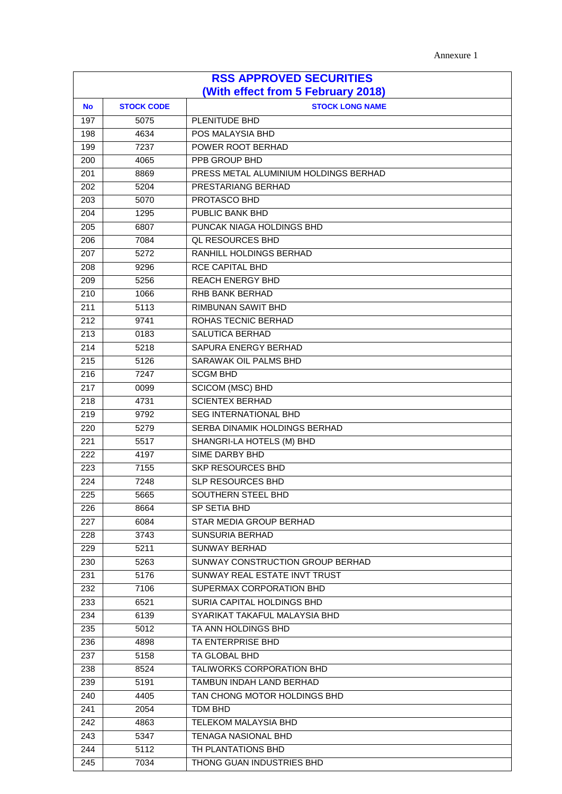| Annexure 1 |
|------------|
|------------|

| <b>RSS APPROVED SECURITIES</b><br>(With effect from 5 February 2018) |      |                                       |  |
|----------------------------------------------------------------------|------|---------------------------------------|--|
| <b>STOCK LONG NAME</b><br><b>STOCK CODE</b><br><b>No</b>             |      |                                       |  |
| 197                                                                  | 5075 | PLENITUDE BHD                         |  |
| 198                                                                  | 4634 | POS MALAYSIA BHD                      |  |
| 199                                                                  | 7237 | POWER ROOT BERHAD                     |  |
| 200                                                                  | 4065 | PPB GROUP BHD                         |  |
| 201                                                                  | 8869 | PRESS METAL ALUMINIUM HOLDINGS BERHAD |  |
| 202                                                                  | 5204 | PRESTARIANG BERHAD                    |  |
| 203                                                                  | 5070 | PROTASCO BHD                          |  |
| 204                                                                  | 1295 | PUBLIC BANK BHD                       |  |
| 205                                                                  | 6807 | PUNCAK NIAGA HOLDINGS BHD             |  |
| 206                                                                  | 7084 | <b>QL RESOURCES BHD</b>               |  |
| 207                                                                  | 5272 | RANHILL HOLDINGS BERHAD               |  |
| 208                                                                  | 9296 | <b>RCE CAPITAL BHD</b>                |  |
| 209                                                                  | 5256 | <b>REACH ENERGY BHD</b>               |  |
| 210                                                                  | 1066 | RHB BANK BERHAD                       |  |
| 211                                                                  | 5113 | RIMBUNAN SAWIT BHD                    |  |
| 212                                                                  | 9741 | ROHAS TECNIC BERHAD                   |  |
| 213                                                                  | 0183 | <b>SALUTICA BERHAD</b>                |  |
| 214                                                                  | 5218 | SAPURA ENERGY BERHAD                  |  |
| 215                                                                  | 5126 | SARAWAK OIL PALMS BHD                 |  |
| 216                                                                  | 7247 | <b>SCGM BHD</b>                       |  |
| 217                                                                  | 0099 | <b>SCICOM (MSC) BHD</b>               |  |
| 218                                                                  | 4731 | <b>SCIENTEX BERHAD</b>                |  |
| 219                                                                  | 9792 | <b>SEG INTERNATIONAL BHD</b>          |  |
| 220                                                                  | 5279 | SERBA DINAMIK HOLDINGS BERHAD         |  |
| 221                                                                  | 5517 | SHANGRI-LA HOTELS (M) BHD             |  |
| 222                                                                  | 4197 | SIME DARBY BHD                        |  |
| 223                                                                  | 7155 | SKP RESOURCES BHD                     |  |
| 224                                                                  | 7248 | <b>SLP RESOURCES BHD</b>              |  |
| $\overline{225}$                                                     | 5665 | SOUTHERN STEEL BHD                    |  |
| 226                                                                  | 8664 | SP SETIA BHD                          |  |
| 227                                                                  | 6084 | STAR MEDIA GROUP BERHAD               |  |
| 228                                                                  | 3743 | <b>SUNSURIA BERHAD</b>                |  |
| 229                                                                  | 5211 | SUNWAY BERHAD                         |  |
| 230                                                                  | 5263 | SUNWAY CONSTRUCTION GROUP BERHAD      |  |
| 231                                                                  | 5176 | SUNWAY REAL ESTATE INVT TRUST         |  |
| 232                                                                  | 7106 | SUPERMAX CORPORATION BHD              |  |
| 233                                                                  | 6521 | SURIA CAPITAL HOLDINGS BHD            |  |
| 234                                                                  | 6139 | SYARIKAT TAKAFUL MALAYSIA BHD         |  |
| 235                                                                  | 5012 | TA ANN HOLDINGS BHD                   |  |
| 236                                                                  | 4898 | TA ENTERPRISE BHD                     |  |
| 237                                                                  | 5158 | TA GLOBAL BHD                         |  |
| 238                                                                  | 8524 | TALIWORKS CORPORATION BHD             |  |
| 239                                                                  | 5191 | TAMBUN INDAH LAND BERHAD              |  |
| 240                                                                  | 4405 | TAN CHONG MOTOR HOLDINGS BHD          |  |
| 241                                                                  | 2054 | TDM BHD                               |  |
| 242                                                                  | 4863 | <b>TELEKOM MALAYSIA BHD</b>           |  |
| 243                                                                  | 5347 | <b>TENAGA NASIONAL BHD</b>            |  |
| 244                                                                  | 5112 | TH PLANTATIONS BHD                    |  |
| 245                                                                  | 7034 | THONG GUAN INDUSTRIES BHD             |  |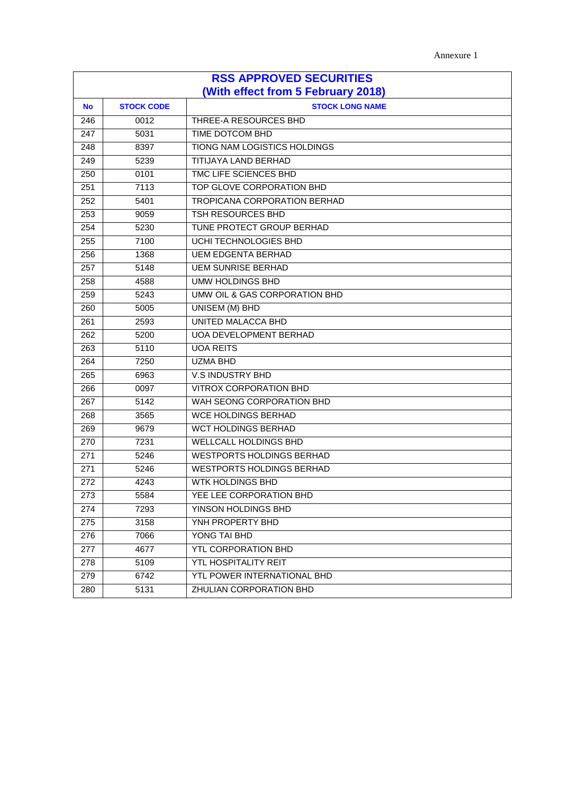| <b>RSS APPROVED SECURITIES</b>     |                   |                                  |  |
|------------------------------------|-------------------|----------------------------------|--|
| (With effect from 5 February 2018) |                   |                                  |  |
| <b>No</b>                          | <b>STOCK CODE</b> | <b>STOCK LONG NAME</b>           |  |
| 246                                | 0012              | THREE-A RESOURCES BHD            |  |
| 247                                | 5031              | TIME DOTCOM BHD                  |  |
| 248                                | 8397              | TIONG NAM LOGISTICS HOLDINGS     |  |
| 249                                | 5239              | TITIJAYA LAND BERHAD             |  |
| 250                                | 0101              | TMC LIFE SCIENCES BHD            |  |
| 251                                | 7113              | TOP GLOVE CORPORATION BHD        |  |
| 252                                | 5401              | TROPICANA CORPORATION BERHAD     |  |
| 253                                | 9059              | TSH RESOURCES BHD                |  |
| 254                                | 5230              | TUNE PROTECT GROUP BERHAD        |  |
| 255                                | 7100              | UCHI TECHNOLOGIES BHD            |  |
| 256                                | 1368              | <b>UEM EDGENTA BERHAD</b>        |  |
| 257                                | 5148              | <b>UEM SUNRISE BERHAD</b>        |  |
| 258                                | 4588              | <b>UMW HOLDINGS BHD</b>          |  |
| 259                                | 5243              | UMW OIL & GAS CORPORATION BHD    |  |
| 260                                | 5005              | UNISEM (M) BHD                   |  |
| 261                                | 2593              | UNITED MALACCA BHD               |  |
| 262                                | 5200              | <b>UOA DEVELOPMENT BERHAD</b>    |  |
| 263                                | 5110              | <b>UOA REITS</b>                 |  |
| 264                                | 7250              | <b>UZMA BHD</b>                  |  |
| 265                                | 6963              | V.S INDUSTRY BHD                 |  |
| 266                                | 0097              | <b>VITROX CORPORATION BHD</b>    |  |
| 267                                | 5142              | WAH SEONG CORPORATION BHD        |  |
| 268                                | 3565              | <b>WCE HOLDINGS BERHAD</b>       |  |
| 269                                | 9679              | <b>WCT HOLDINGS BERHAD</b>       |  |
| 270                                | 7231              | WELLCALL HOLDINGS BHD            |  |
| 271                                | 5246              | <b>WESTPORTS HOLDINGS BERHAD</b> |  |
| 271                                | 5246              | <b>WESTPORTS HOLDINGS BERHAD</b> |  |
| 272                                | 4243              | <b>WTK HOLDINGS BHD</b>          |  |
| 273                                | 5584              | YEE LEE CORPORATION BHD          |  |
| 274                                | 7293              | YINSON HOLDINGS BHD              |  |
| 275                                | 3158              | YNH PROPERTY BHD                 |  |
| 276                                | 7066              | YONG TAI BHD                     |  |
| 277                                | 4677              | YTL CORPORATION BHD              |  |
| 278                                | 5109              | YTL HOSPITALITY REIT             |  |
| 279                                | 6742              | YTL POWER INTERNATIONAL BHD      |  |
| 280                                | 5131              | ZHULIAN CORPORATION BHD          |  |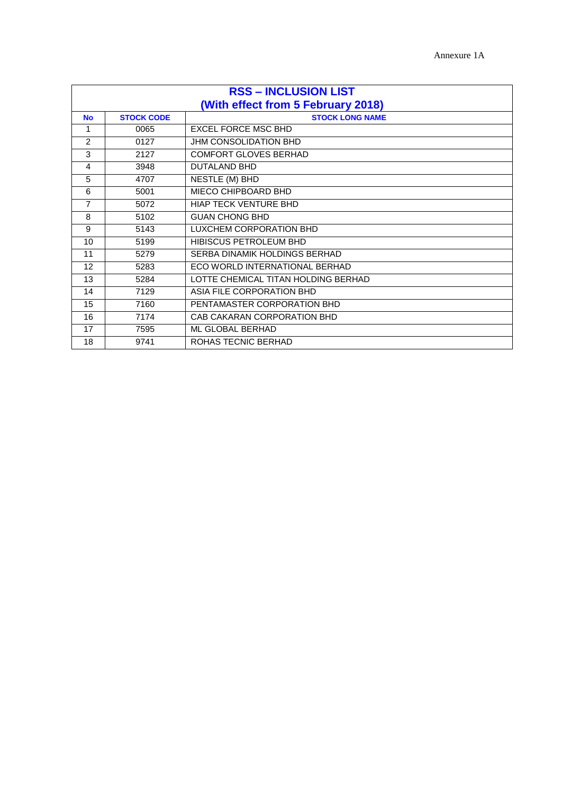| <b>RSS - INCLUSION LIST</b> |                   |                                     |
|-----------------------------|-------------------|-------------------------------------|
|                             |                   | (With effect from 5 February 2018)  |
| <b>No</b>                   | <b>STOCK CODE</b> | <b>STOCK LONG NAME</b>              |
| 1                           | 0065              | <b>EXCEL FORCE MSC BHD</b>          |
| 2                           | 0127              | <b>JHM CONSOLIDATION BHD</b>        |
| 3                           | 2127              | <b>COMFORT GLOVES BERHAD</b>        |
| 4                           | 3948              | <b>DUTALAND BHD</b>                 |
| 5                           | 4707              | NESTLE (M) BHD                      |
| 6                           | 5001              | MIECO CHIPBOARD BHD                 |
| $\overline{7}$              | 5072              | <b>HIAP TECK VENTURE BHD</b>        |
| 8                           | 5102              | <b>GUAN CHONG BHD</b>               |
| 9                           | 5143              | LUXCHEM CORPORATION BHD             |
| 10                          | 5199              | <b>HIBISCUS PETROLEUM BHD</b>       |
| 11                          | 5279              | SERBA DINAMIK HOLDINGS BERHAD       |
| 12 <sup>2</sup>             | 5283              | FCO WORLD INTERNATIONAL BERHAD      |
| 13                          | 5284              | LOTTE CHEMICAL TITAN HOLDING BERHAD |
| 14                          | 7129              | ASIA FILE CORPORATION BHD           |
| 15                          | 7160              | PENTAMASTER CORPORATION BHD         |
| 16                          | 7174              | CAB CAKARAN CORPORATION BHD         |
| 17                          | 7595              | ML GLOBAL BERHAD                    |
| 18                          | 9741              | ROHAS TECNIC BERHAD                 |